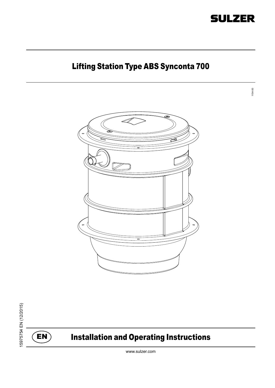



# $\widehat{EN}$  Installation and Operating Instructions

www.sulzer.com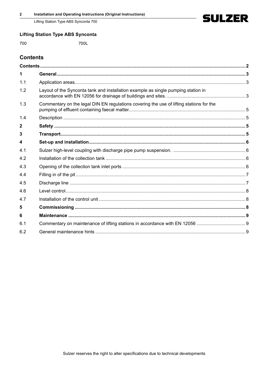## **Lifting Station Type ABS Synconta**

700

700L

## **Contents**

| 1            |                                                                                         |  |
|--------------|-----------------------------------------------------------------------------------------|--|
| 1.1          |                                                                                         |  |
| 1.2          | Layout of the Synconta tank and installation example as single pumping station in       |  |
| 1.3          | Commentary on the legal DIN EN regulations covering the use of lifting stations for the |  |
| 1.4          |                                                                                         |  |
| $\mathbf{2}$ |                                                                                         |  |
| 3            |                                                                                         |  |
| 4            |                                                                                         |  |
| 4.1          |                                                                                         |  |
| 4.2          |                                                                                         |  |
| 4.3          |                                                                                         |  |
| 4.4          |                                                                                         |  |
| 4.5          |                                                                                         |  |
| 4.6          |                                                                                         |  |
| 4.7          |                                                                                         |  |
| 5            |                                                                                         |  |
| 6            |                                                                                         |  |
| 6.1          |                                                                                         |  |
| 6.2          |                                                                                         |  |
|              |                                                                                         |  |

**SULZER**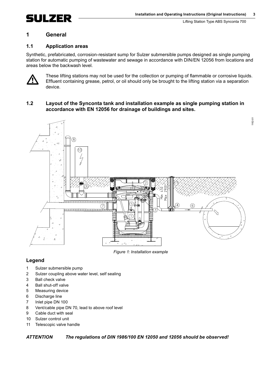

1162-01

## **1 General**

## **1.1 Application areas**

Synthetic, prefabricated, corrosion-resistant sump for Sulzer submersible pumps designed as single pumping station for automatic pumping of wastewater and sewage in accordance with DIN/EN 12056 from locations and areas below the backwash level.



These lifting stations may not be used for the collection or pumping of flammable or corrosive liquids.<br>Effluent containing grease, petrol, or oil should only be brought to the lifting station via a separation<br>device Effluent containing grease, petrol, or oil should only be brought to the lifting station via a separation device.

## **1.2 Layout of the Synconta tank and installation example as single pumping station in accordance with EN 12056 for drainage of buildings and sites.**



*Figure 1: Installation example*

## **Legend**

- 1 Sulzer submersible pump
- 2 Sulzer coupling above water level, self sealing
- 3 Ball check valve
- 4 Ball shut-off valve
- 5 Measuring device
- 6 Discharge line
- 7 Inlet pipe DN 100
- 8 Vent/cable pipe DN 70, lead to above roof level
- 9 Cable duct with seal
- 10 Sulzer control unit
- 11 Telescopic valve handle

*ATTENTION The regulations of DIN 1986/100 EN 12050 and 12056 should be observed!*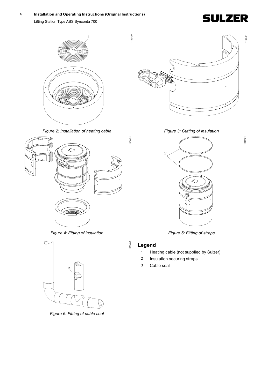**SULZER** 

1159-01



*Figure 2: Installation of heating cable Figure 3: Cutting of insulation*



*Figure 4: Fitting of insulation Figure 5: Fitting of straps*



*Figure 6: Fitting of cable seal*





## **Legend**

1163-00

1156-01

- 1 Heating cable (not supplied by Sulzer)
- 2 Insulation securing straps
- 3 Cable seal

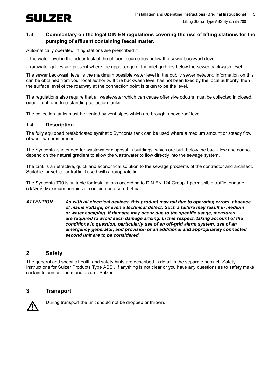

## **1.3 Commentary on the legal DIN EN regulations covering the use of lifting stations for the pumping of effluent containing faecal matter.**

Automatically operated lifting stations are prescribed if:

- the water level in the odour lock of the effluent source lies below the sewer backwash level.
- rainwater gullies are present where the upper edge of the inlet grid lies below the sewer backwash level.

The sewer backwash level is the maximum possible water level in the public sewer network. Information on this can be obtained from your local authority. If the backwash level has not been fixed by the local authority, then the surface level of the roadway at the connection point is taken to be the level.

The regulations also require that all wastewater which can cause offensive odours must be collected in closed, odour-tight, and free-standing collection tanks.

The collection tanks must be vented by vent pipes which are brought above roof level.

#### **1.4 Description**

The fully equipped prefabricated synthetic Synconta tank can be used where a medium amount or steady flow of wastewater is present.

The Synconta is intended for wastewater disposal in buildings, which are built below the back-flow and cannot depend on the natural gradient to allow the wastewater to flow directly into the sewage system.

The tank is an effective, quick and economical solution to the sewage problems of the contractor and architect. Suitable for vehicular traffic if used with appropriate lid.

The Synconta 700 is suitable for installations according to DIN EN 124 Group 1 permissible traffic tonnage 5 kN/m2. Maximum permissible outside pressure 0.4 bar.

#### *ATTENTION As with all electrical devices, this product may fail due to operating errors, absence of mains voltage, or even a technical defect. Such a failure may result in medium or water escaping. If damage may occur due to the specific usage, measures are required to avoid such damage arising. In this respect, taking account of the conditions in question, particularly use of an off-grid alarm system, use of an emergency generator, and provision of an additional and appropriately connected second unit are to be considered.*

## **2 Safety**

The general and specific health and safety hints are described in detail in the separate booklet "Safety Instructions for Sulzer Products Type ABS". If anything is not clear or you have any questions as to safety make certain to contact the manufacturer Sulzer.

#### **3 Transport**



During transport the unit should not be dropped or thrown.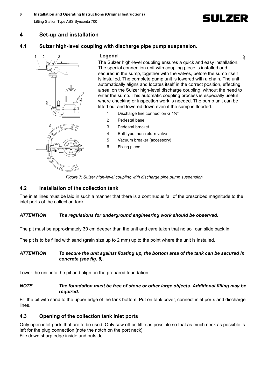## **4 Set-up and installation**

## **4.1 Sulzer high-level coupling with discharge pipe pump suspension.**



## **Legend**

1161-01 The Sulzer high-level coupling ensures a quick and easy installation. The special connection unit with coupling piece is installed and secured in the sump, together with the valves, before the sump itself is installed. The complete pump unit is lowered with a chain. The unit automatically aligns and locates itself in the correct position, effecting a seal on the Sulzer high-level discharge coupling, without the need to enter the sump. This automatic coupling process is especially useful where checking or inspection work is needed. The pump unit can be lifted out and lowered down even if the sump is flooded.

SULZER

- 1 Discharge line connection G 11/4"
- 2 Pedestal base
- 3 Pedestal bracket
- 4 Ball-type, non-return valve
- 5 Vacuum breaker (accessory)
- 6 Fixing piece

*Figure 7: Sulzer high-level coupling with discharge pipe pump suspension*

#### **4.2 Installation of the collection tank**

The inlet lines must be laid in such a manner that there is a continuous fall of the prescribed magnitude to the inlet ports of the collection tank.

#### *ATTENTION The regulations for underground engineering work should be observed.*

The pit must be approximately 30 cm deeper than the unit and care taken that no soil can slide back in.

The pit is to be filled with sand (grain size up to 2 mm) up to the point where the unit is installed.

#### *ATTENTION To secure the unit against floating up, the bottom area of the tank can be secured in concrete (see fig. 8).*

Lower the unit into the pit and align on the prepared foundation.

#### *NOTE The foundation must be free of stone or other large objects. Additional filling may be required.*

Fill the pit with sand to the upper edge of the tank bottom. Put on tank cover, connect inlet ports and discharge lines.

## **4.3 Opening of the collection tank inlet ports**

Only open inlet ports that are to be used. Only saw off as little as possible so that as much neck as possible is left for the plug connection (note the notch on the port neck). File down sharp edge inside and outside.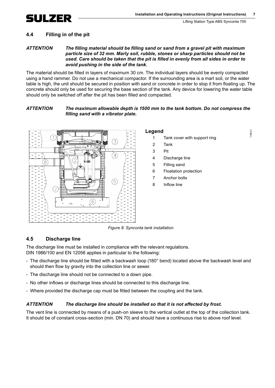1158-01

## **4.4 Filling in of the pit**

#### *ATTENTION The filling material should be filling sand or sand from a gravel pit with maximum particle size of 32 mm. Marly soil, rubble, stones or sharp particles should not be used. Care should be taken that the pit is filled in evenly from all sides in order to avoid pushing in the side of the tank.*

The material should be filled in layers of maximum 30 cm. The individual layers should be evenly compacted using a hand rammer. Do not use a mechanical compactor. If the surrounding area is a marl soil, or the water table is high, the unit should be secured in position with sand or concrete in order to stop it from floating up. The concrete should only be used for securing the base section of the tank. Any device for lowering the water table should only be switched off after the pit has been filled and compacted.

## *ATTENTION The maximum allowable depth is 1500 mm to the tank bottom. Do not compress the filling sand with a vibrator plate.*



#### **Legend**

- 1 Tank cover with support ring
- 2 Tank
- 3 Pit
- 4 Discharge line
- 5 Filling sand
- 6 Floatation protection
- 7 Anchor bolts
- 8 Inflow line

*Figure 8: Synconta tank installation*

## **4.5 Discharge line**

The discharge line must be installed in compliance with the relevant regulations. DIN 1986/100 and EN 12056 applies in particular to the following:

- The discharge line should be fitted with a backwash loop (180° bend) located above the backwash level and should then flow by gravity into the collection line or sewer.
- The discharge line should not be connected to a down pipe.
- No other inflows or discharge lines should be connected to this discharge line.
- Where provided the discharge cap must be fitted between the coupling and the tank.

#### *ATTENTION The discharge line should be installed so that it is not affected by frost.*

The vent line is connected by means of a push-on sleeve to the vertical outlet at the top of the collection tank. It should be of constant cross-section (min. DN 70) and should have a continuous rise to above roof level.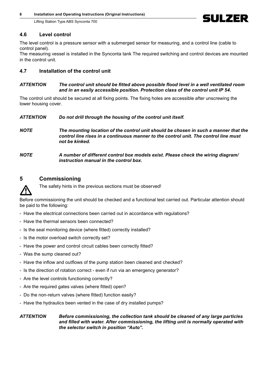#### **8 Installation and Operating Instructions (Original Instructions)**

Lifting Station Type ABS Synconta 700

#### **4.6 Level control**

The level control is a pressure sensor with a submerged sensor for measuring, and a control line (cable to control panel).

The measuring vessel is installed in the Synconta tank The required switching and control devices are mounted in the control unit.

SIII ZER

#### **4.7 Installation of the control unit**

#### *ATTENTION The control unit should be fitted above possible flood level in a well ventilated room and in an easily accessible position. Protection class of the control unit IP 54.*

The control unit should be secured at all fixing points. The fixing holes are accessible after unscrewing the lower housing cover.

*ATTENTION Do not drill through the housing of the control unit itself.*

*NOTE The mounting location of the control unit should be chosen in such a manner that the control line rises in a continuous manner to the control unit. The control line must not be kinked.*

*NOTE A number of different control box models exist. Please check the wiring diagram/ instruction manual in the control box.*

## **5 Commissioning**

The safety hints in the previous sections must be observed!

Before commissioning the unit should be checked and a functional test carried out. Particular attention should be paid to the following:

- Have the electrical connections been carried out in accordance with regulations?
- Have the thermal sensors been connected?
- Is the seal monitoring device (where fitted) correctly installed?
- Is the motor overload switch correctly set?
- Have the power and control circuit cables been correctly fitted?
- Was the sump cleaned out?
- Have the inflow and outflows of the pump station been cleaned and checked?
- Is the direction of rotation correct even if run via an emergency generator?
- Are the level controls functioning correctly?
- Are the required gates valves (where fitted) open?
- Do the non-return valves (where fitted) function easily?
- Have the hydraulics been vented in the case of dry installed pumps?

*ATTENTION Before commissioning, the collection tank should be cleaned of any large particles and filled with water. After commissioning, the lifting unit is normally operated with the selector switch in position "Auto".*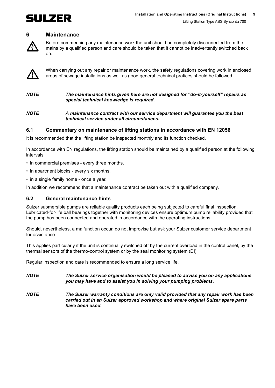

#### **6 Maintenance**



Before commencing any maintenance work the unit should be completely disconnected from the<br>mains by a qualified person and care should be taken that it cannot be inadvertently switched bad mains by a qualified person and care should be taken that it cannot be inadvertently switched back on.



When carrying out any repair or maintenance work, the safety regulations covering work in enclosed<br>areas of sewage installations as well as good general technical pratices should be followed. areas of sewage installations as well as good general technical pratices should be followed.

*NOTE The maintenance hints given here are not designed for "do-it-yourself" repairs as special technical knowledge is required.*

*NOTE A maintenance contract with our service department will guarantee you the best technical service under all circumstances.*

#### **6.1 Commentary on maintenance of lifting stations in accordance with EN 12056**

It is recommended that the lifting station be inspected monthly and its function checked.

In accordance with EN regulations, the lifting station should be maintained by a qualified person at the following intervals:

- in commercial premises every three months.
- in apartment blocks every six months.
- in a single family home once a year.

In addition we recommend that a maintenance contract be taken out with a qualified company.

#### **6.2 General maintenance hints**

Sulzer submersible pumps are reliable quality products each being subjected to careful final inspection. Lubricated-for-life ball bearings together with monitoring devices ensure optimum pump reliability provided that the pump has been connected and operated in accordance with the operating instructions.

Should, nevertheless, a malfunction occur, do not improvise but ask your Sulzer customer service department for assistance.

This applies particularly if the unit is continually switched off by the current overload in the control panel, by the thermal sensors of the thermo-control system or by the seal monitoring system (DI).

Regular inspection and care is recommended to ensure a long service life.

*NOTE The Sulzer service organisation would be pleased to advise you on any applications you may have and to assist you in solving your pumping problems.*

*NOTE The Sulzer warranty conditions are only valid provided that any repair work has been carried out in an Sulzer approved workshop and where original Sulzer spare parts have been used.*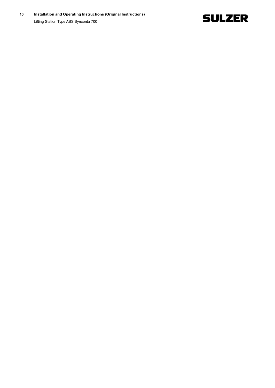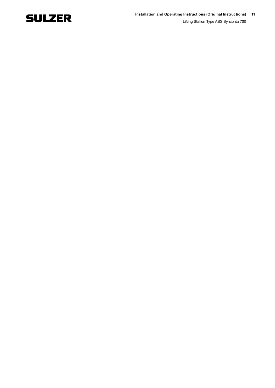**SULZER** 

Lifting Station Type ABS Synconta 700